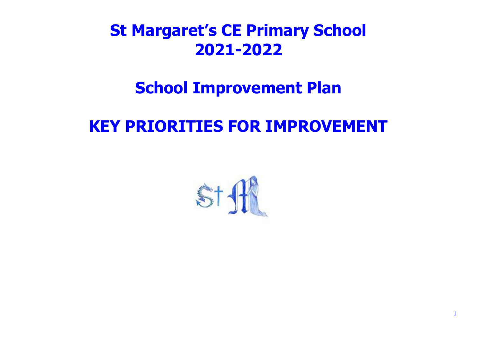# **St Margaret's CE Primary School 2021-2022**

## **School Improvement Plan**

## **KEY PRIORITIES FOR IMPROVEMENT**

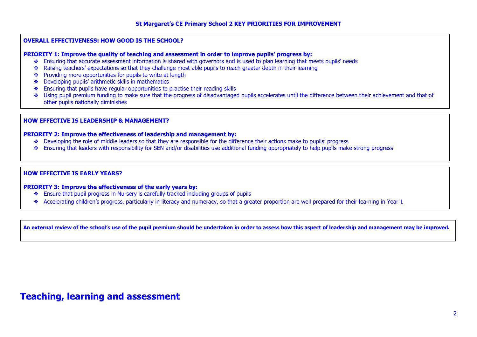#### **OVERALL EFFECTIVENESS: HOW GOOD IS THE SCHOOL?**

#### **PRIORITY 1: Improve the quality of teaching and assessment in order to improve pupils' progress by:**

- ❖ Ensuring that accurate assessment information is shared with governors and is used to plan learning that meets pupils' needs
- ❖ Raising teachers' expectations so that they challenge most able pupils to reach greater depth in their learning
- ❖ Providing more opportunities for pupils to write at length
- ❖ Developing pupils' arithmetic skills in mathematics
- ❖ Ensuring that pupils have regular opportunities to practise their reading skills
- ❖ Using pupil premium funding to make sure that the progress of disadvantaged pupils accelerates until the difference between their achievement and that of other pupils nationally diminishes

#### **HOW EFFECTIVE IS LEADERSHIP & MANAGEMENT?**

#### **PRIORITY 2: Improve the effectiveness of leadership and management by:**

- ❖ Developing the role of middle leaders so that they are responsible for the difference their actions make to pupils' progress
- ❖ Ensuring that leaders with responsibility for SEN and/or disabilities use additional funding appropriately to help pupils make strong progress

#### **HOW EFFECTIVE IS EARLY YEARS?**

**PRIORITY 3: Improve the effectiveness of the early years by:** 

- ❖ Ensure that pupil progress in Nursery is carefully tracked including groups of pupils
- ❖ Accelerating children's progress, particularly in literacy and numeracy, so that a greater proportion are well prepared for their learning in Year 1

**An external review of the school's use of the pupil premium should be undertaken in order to assess how this aspect of leadership and management may be improved.** 

### **Teaching, learning and assessment**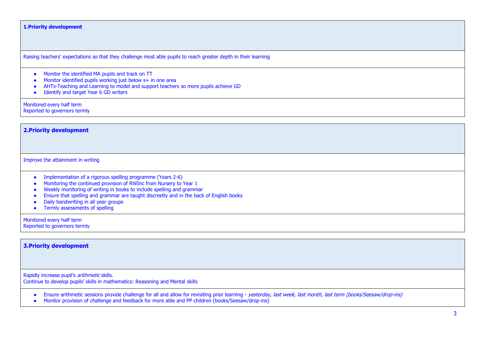#### **1.Priority development**

Raising teachers' expectations so that they challenge most able pupils to reach greater depth in their learning

- Monitor the identified MA pupils and track on TT
- Monitor identified pupils working just below s+ in one area
- AHTs-Teaching and Learning to model and support teachers so more pupils achieve GD
- Identify and target Year 6 GD writers

Monitored every half term Reported to governors termly

**2.Priority development**

Improve the attainment in writing

- Implementation of a rigorous spelling programme (Years 2-6)
- Monitoring the continued provision of RWInc from Nursery to Year 1
- Weekly monitoring of writing in books to include spelling and grammar
- Ensure that spelling and grammar are taught discreetly and in the back of English books
- Daily handwriting in all year groups
- $\bullet$  Termly assessments of spelling

Monitored every half term

Reported to governors termly

#### **3.Priority development**

Rapidly increase pupil's *arithmetic* skills.

Continue to develop pupils' skills in mathematics: Reasoning and Mental skills

• Ensure arithmetic sessions provide challenge for all and allow for revisiting prior learning - yesterday, last week, last month, last term (books/Seesaw/drop-ins)

• Monitor provision of challenge and feedback for more able and PP children (books/Seesaw/drop-ins)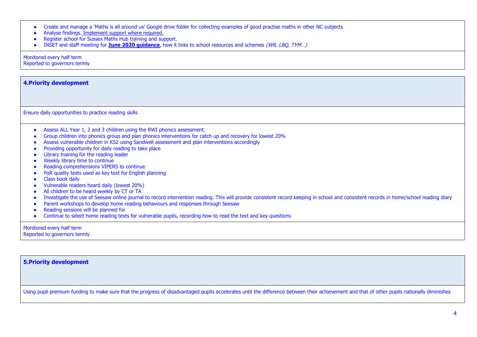|  |  |  |  |  | • Create and manage a 'Maths is all around us' Google drive folder for collecting examples of good practise maths in other NC subjects |  |
|--|--|--|--|--|----------------------------------------------------------------------------------------------------------------------------------------|--|
|--|--|--|--|--|----------------------------------------------------------------------------------------------------------------------------------------|--|

- Analyse findings. Implement support where required.
- **Register school for Sussex Maths Hub training and support.**
- INSET and staff meeting for **June 2020 guidance**, how it links to school resources and schemes (WR, LBQ, TYM…)

Monitored every half term

Reported to governors termly

| <b>4. Priority development</b> |  |  |
|--------------------------------|--|--|
|                                |  |  |

Ensure daily opportunities to practice reading skills

- Assess ALL Year 1, 2 and 3 children using the RWI phonics assessment.
- Group children into phonics group and plan phonics interventions for catch up and recovery for lowest 20%
- Assess vulnerable children in KS2 using Sandwell assessment and plan interventions accordingly
- Providing opportunity for daily reading to take place
- Library training for the reading leader
- Weekly library time to continue
- Reading comprehensions VIPERS to continue
- PoR quality texts used as key text for English planning
- Class book daily
- Vulnerable readers heard daily (lowest 20%)
- All children to be heard weekly by CT or TA
- Investigate the use of Seesaw online journal to record intervention reading. This will provide consistent record keeping in school and consistent records in home/school reading diary
- Parent workshops to develop home reading behaviours and responses through Seesaw
- Reading sessions will be planned for
- Continue to select home reading texts for vulnerable pupils, recording how to read the text and key questions

Monitored every half term

Reported to governors termly

**5.Priority development**

Using pupil premium funding to make sure that the progress of disadvantaged pupils accelerates until the difference between their achievement and that of other pupils nationally diminishes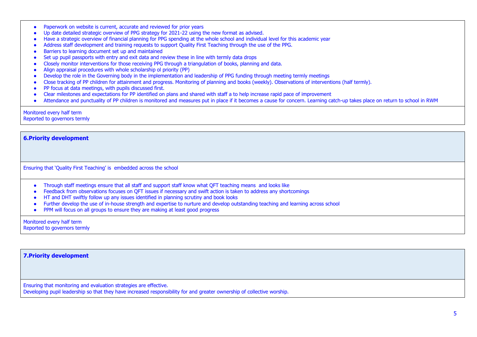- Paperwork on website is current, accurate and reviewed for prior years
- Up date detailed strategic overview of PPG strategy for 2021-22 using the new format as advised.
- Have a strategic overview of financial planning for PPG spending at the whole school and individual level for this academic year
- Address staff development and training requests to support Quality First Teaching through the use of the PPG.
- Barriers to learning document set up and maintained
- Set up pupil passports with entry and exit data and review these in line with termly data drops
- Closely monitor interventions for those receiving PPG through a triangulation of books, planning and data.
- Align appraisal procedures with whole scholarship ol priority (PP)
- Develop the role in the Governing body in the implementation and leadership of PPG funding through meeting termly meetings
- Close tracking of PP children for attainment and progress. Monitoring of planning and books (weekly). Observations of interventions (half termly).
- PP focus at data meetings, with pupils discussed first.
- Clear milestones and expectations for PP identified on plans and shared with staff a to help increase rapid pace of improvement
- Attendance and punctuality of PP children is monitored and measures put in place if it becomes a cause for concern. Learning catch-up takes place on return to school in RWM

#### Monitored every half term Reported to governors termly

**6.Priority development**

Ensuring that 'Quality First Teaching' is embedded across the school

- Through staff meetings ensure that all staff and support staff know what QFT teaching means and looks like
- Feedback from observations focuses on OFT issues if necessary and swift action is taken to address any shortcomings
- $H$  HT and DHT swiftly follow up any issues identified in planning scrutiny and book looks
- Further develop the use of in-house strength and expertise to nurture and develop outstanding teaching and learning across school
- PPM will focus on all groups to ensure they are making at least good progress

Monitored every half term Reported to governors termly

**7.Priority development**

Ensuring that monitoring and evaluation strategies are effective.

Developing pupil leadership so that they have increased responsibility for and greater ownership of collective worship.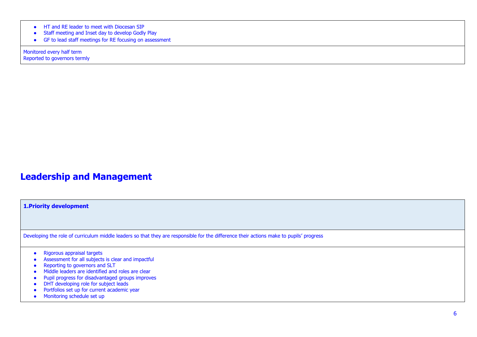- HT and RE leader to meet with Diocesan SIP
- Staff meeting and Inset day to develop Godly Play
- GF to lead staff meetings for RE focusing on assessment

Monitored every half term Reported to governors termly

### **Leadership and Management**

**1.Priority development**

Developing the role of curriculum middle leaders so that they are responsible for the difference their actions make to pupils' progress

- Rigorous appraisal targets
- Assessment for all subjects is clear and impactful
- Reporting to governors and SLT
- Middle leaders are identified and roles are clear
- Pupil progress for disadvantaged groups improves
- DHT developing role for subject leads
- Portfolios set up for current academic year
- Monitoring schedule set up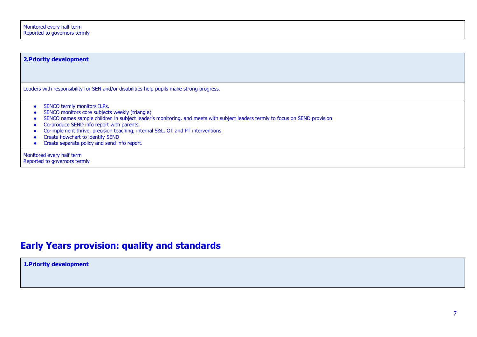| <b>2. Priority development</b>                                                                                                                                                                                                                                                                                                                                                                                                      |  |  |  |  |
|-------------------------------------------------------------------------------------------------------------------------------------------------------------------------------------------------------------------------------------------------------------------------------------------------------------------------------------------------------------------------------------------------------------------------------------|--|--|--|--|
|                                                                                                                                                                                                                                                                                                                                                                                                                                     |  |  |  |  |
| Leaders with responsibility for SEN and/or disabilities help pupils make strong progress.                                                                                                                                                                                                                                                                                                                                           |  |  |  |  |
| SENCO termly monitors ILPs.<br>SENCO monitors core subjects weekly (triangle)<br>SENCO names sample children in subject leader's monitoring, and meets with subject leaders termly to focus on SEND provision.<br>Co-produce SEND info report with parents.<br>Co-implement thrive, precision teaching, internal S&L, OT and PT interventions.<br>Create flowchart to identify SEND<br>Create separate policy and send info report. |  |  |  |  |
| Monitored every half term<br>Reported to governors termly                                                                                                                                                                                                                                                                                                                                                                           |  |  |  |  |

### **Early Years provision: quality and standards**

**1.Priority development**